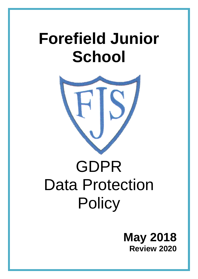## **Forefield Junior School**



# GDPR Data Protection **Policy**

### **May 2018 Review 2020**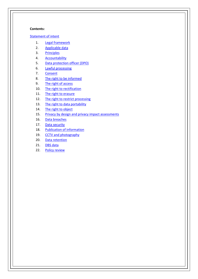#### **Contents:**

#### [Statement of intent](#page-2-0)

- 1. [Legal framework](#page-3-0)
- 2. [Applicable data](#page-3-1)
- 3. [Principles](#page-4-0)
- 4. [Accountability](#page-4-1)
- 5. [Data protection officer \(DPO\)](#page-5-0)
- 6. [Lawful processing](#page-6-0)
- 7. [Consent](#page-7-0)
- 8. [The right to be informed](#page-7-1)
- 9. [The right of access](#page-8-0)
- 10. [The right to rectification](#page-9-0)
- 11. [The right to erasure](#page-9-1)
- 12. [The right to restrict processing](#page-10-0)
- 13. [The right to data portability](#page-11-0)
- 14. [The right to object](#page-12-0)
- 15. [Privacy by design and privacy impact assessments](#page-13-0)
- 16. [Data breaches](#page-13-1)
- 17. [Data security](#page-14-0)
- 18. [Publication of information](#page-16-0)
- 19. [CCTV and photography](#page-16-1)
- 20. [Data retention](#page-17-0)
- 21. [DBS data](#page-17-1)
- 22. [Policy review](#page-17-2)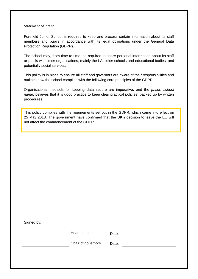#### <span id="page-2-0"></span>**Statement of intent**

Forefield Junior School is required to keep and process certain information about its staff members and pupils in accordance with its legal obligations under the General Data Protection Regulation (GDPR).

The school may, from time to time, be required to share personal information about its staff or pupils with other organisations, mainly the LA, other schools and educational bodies, and potentially social services.

This policy is in place to ensure all staff and governors are aware of their responsibilities and outlines how the school complies with the following core principles of the GDPR.

Organisational methods for keeping data secure are imperative, and the *[Insert school name]* believes that it is good practice to keep clear practical policies, backed up by written procedures.

This policy complies with the requirements set out in the GDPR, which came into effect on 25 May 2018. The government have confirmed that the UK's decision to leave the EU will not affect the commencement of the GDPR.

Signed by:

Headteacher Date:

Chair of governors Date: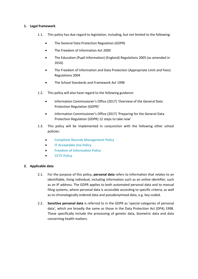#### <span id="page-3-0"></span>**1. Legal framework**

- 1.1. This policy has due regard to legislation, including, but not limited to the following:
	- The General Data Protection Regulation (GDPR)
	- The Freedom of Information Act 2000
	- The Education (Pupil Information) (England) Regulations 2005 (as amended in 2016)
	- The Freedom of Information and Data Protection (Appropriate Limit and Fees) Regulations 2004
	- The School Standards and Framework Act 1998
- 1.2. This policy will also have regard to the following guidance:
	- Information Commissioner's Office (2017) 'Overview of the General Data Protection Regulation (GDPR)'
	- Information Commissioner's Office (2017) 'Preparing for the General Data Protection Regulation (GDPR) 12 steps to take now'
- 1.3. This policy will be implemented in conjunction with the following other school policies:
	- **Compliant Records Management Policy**
	- **IT Acceptable Use Policy**
	- **Freedom of Information Policy**
	- **• CCTV Policy**

#### <span id="page-3-1"></span>**2. Applicable data**

- 2.1. For the purpose of this policy, **personal data** refers to information that relates to an identifiable, living individual, including information such as an online identifier, such as an IP address. The GDPR applies to both automated personal data and to manual filing systems, where personal data is accessible according to specific criteria, as well as to chronologically ordered data and pseudonymised data, e.g. key-coded.
- 2.2. **Sensitive personal data** is referred to in the GDPR as 'special categories of personal data', which are broadly the same as those in the Data Protection Act (DPA) 1998. These specifically include the processing of genetic data, biometric data and data concerning health matters.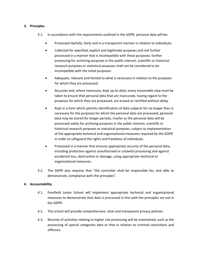#### <span id="page-4-0"></span>**3. Principles**

- 3.1. In accordance with the requirements outlined in the GDPR, personal data will be:
	- Processed lawfully, fairly and in a transparent manner in relation to individuals.
	- Collected for specified, explicit and legitimate purposes and not further processed in a manner that is incompatible with those purposes; further processing for archiving purposes in the public interest, scientific or historical research purposes or statistical purposes shall not be considered to be incompatible with the initial purposes.
	- Adequate, relevant and limited to what is necessary in relation to the purposes for which they are processed.
	- Accurate and, where necessary, kept up-to-date; every reasonable step must be taken to ensure that personal data that are inaccurate, having regard to the purposes for which they are processed, are erased or rectified without delay.
	- Kept in a form which permits identification of data subjects for no longer than is necessary for the purposes for which the personal data are processed; personal data may be stored for longer periods, insofar as the personal data will be processed solely for archiving purposes in the public interest, scientific or historical research purposes or statistical purposes, subject to implementation of the appropriate technical and organisational measures required by the GDPR in order to safeguard the rights and freedoms of individuals.
	- Processed in a manner that ensures appropriate security of the personal data, including protection against unauthorised or unlawful processing and against accidental loss, destruction or damage, using appropriate technical or organisational measures.
- 3.2. The GDPR also requires that "the controller shall be responsible for, and able to demonstrate, compliance with the principles".

#### <span id="page-4-1"></span>**4. Accountability**

- 4.1. Forefield Junior School will implement appropriate technical and organisational measures to demonstrate that data is processed in line with the principles set out in the GDPR.
- 4.2. The school will provide comprehensive, clear and transparent privacy policies.
- 4.3. Records of activities relating to higher risk processing will be maintained, such as the processing of special categories data or that in relation to criminal convictions and offences.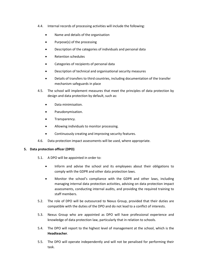- 4.4. Internal records of processing activities will include the following:
	- Name and details of the organisation
	- Purpose(s) of the processing
	- Description of the categories of individuals and personal data
	- Retention schedules
	- Categories of recipients of personal data
	- Description of technical and organisational security measures
	- Details of transfers to third countries, including documentation of the transfer mechanism safeguards in place
- 4.5. The school will implement measures that meet the principles of data protection by design and data protection by default, such as:
	- Data minimisation.
	- Pseudonymisation.
	- Transparency.
	- Allowing individuals to monitor processing.
	- Continuously creating and improving security features.
- 4.6. Data protection impact assessments will be used, where appropriate.

#### <span id="page-5-0"></span>**5. Data protection officer (DPO)**

- 5.1. A DPO will be appointed in order to:
	- Inform and advise the school and its employees about their obligations to comply with the GDPR and other data protection laws.
	- Monitor the school's compliance with the GDPR and other laws, including managing internal data protection activities, advising on data protection impact assessments, conducting internal audits, and providing the required training to staff members.
- 5.2. The role of DPO will be outsourced to Nexus Group, provided that their duties are compatible with the duties of the DPO and do not lead to a conflict of interests.
- 5.3. Nexus Group who are appointed as DPO will have professional experience and knowledge of data protection law, particularly that in relation to schools.
- 5.4. The DPO will report to the highest level of management at the school, which is the **Headteacher**.
- 5.5. The DPO will operate independently and will not be penalised for performing their task.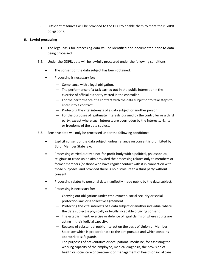5.6. Sufficient resources will be provided to the DPO to enable them to meet their GDPR obligations.

#### <span id="page-6-0"></span>**6. Lawful processing**

- 6.1. The legal basis for processing data will be identified and documented prior to data being processed.
- 6.2. Under the GDPR, data will be lawfully processed under the following conditions:
	- The consent of the data subject has been obtained.
	- Processing is necessary for:
		- Compliance with a legal obligation.
		- The performance of a task carried out in the public interest or in the exercise of official authority vested in the controller.
		- For the performance of a contract with the data subject or to take steps to enter into a contract.
		- Protecting the vital interests of a data subject or another person.
		- For the purposes of legitimate interests pursued by the controller or a third party, except where such interests are overridden by the interests, rights or freedoms of the data subject.
- 6.3. Sensitive data will only be processed under the following conditions:
	- Explicit consent of the data subject, unless reliance on consent is prohibited by EU or Member State law.
	- Processing carried out by a not-for-profit body with a political, philosophical, religious or trade union aim provided the processing relates only to members or former members (or those who have regular contact with it in connection with those purposes) and provided there is no disclosure to a third party without consent.
	- Processing relates to personal data manifestly made public by the data subject.
	- Processing is necessary for:
		- Carrying out obligations under employment, social security or social protection law, or a collective agreement.
		- Protecting the vital interests of a data subject or another individual where the data subject is physically or legally incapable of giving consent.
		- The establishment, exercise or defence of legal claims or where courts are acting in their judicial capacity.
		- Reasons of substantial public interest on the basis of Union or Member State law which is proportionate to the aim pursued and which contains appropriate safeguards.
		- The purposes of preventative or occupational medicine, for assessing the working capacity of the employee, medical diagnosis, the provision of health or social care or treatment or management of health or social care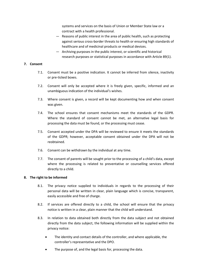systems and services on the basis of Union or Member State law or a contract with a health professional.

- Reasons of public interest in the area of public health, such as protecting against serious cross-border threats to health or ensuring high standards of healthcare and of medicinal products or medical devices.
- Archiving purposes in the public interest, or scientific and historical research purposes or statistical purposes in accordance with Article 89(1).

#### <span id="page-7-0"></span>**7. Consent**

- 7.1. Consent must be a positive indication. It cannot be inferred from silence, inactivity or pre-ticked boxes.
- 7.2. Consent will only be accepted where it is freely given, specific, informed and an unambiguous indication of the individual's wishes.
- 7.3. Where consent is given, a record will be kept documenting how and when consent was given.
- 7.4. The school ensures that consent mechanisms meet the standards of the GDPR. Where the standard of consent cannot be met, an alternative legal basis for processing the data must be found, or the processing must cease.
- 7.5. Consent accepted under the DPA will be reviewed to ensure it meets the standards of the GDPR; however, acceptable consent obtained under the DPA will not be reobtained.
- 7.6. Consent can be withdrawn by the individual at any time.
- 7.7. The consent of parents will be sought prior to the processing of a child's data, except where the processing is related to preventative or counselling services offered directly to a child.

#### <span id="page-7-1"></span>**8. The right to be informed**

- 8.1. The privacy notice supplied to individuals in regards to the processing of their personal data will be written in clear, plain language which is concise, transparent, easily accessible and free of charge.
- 8.2. If services are offered directly to a child, the school will ensure that the privacy notice is written in a clear, plain manner that the child will understand.
- 8.3. In relation to data obtained both directly from the data subject and not obtained directly from the data subject, the following information will be supplied within the privacy notice:
	- The identity and contact details of the controller, and where applicable, the controller's representative and the DPO.
	- The purpose of, and the legal basis for, processing the data.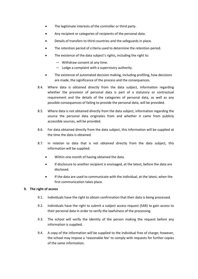- The legitimate interests of the controller or third party.
- Any recipient or categories of recipients of the personal data.
- Details of transfers to third countries and the safeguards in place.
- The retention period of criteria used to determine the retention period.
- The existence of the data subject's rights, including the right to:
	- Withdraw consent at any time.
	- Lodge a complaint with a supervisory authority.
- The existence of automated decision making, including profiling, how decisions are made, the significance of the process and the consequences.
- 8.4. Where data is obtained directly from the data subject, information regarding whether the provision of personal data is part of a statutory or contractual requirement and the details of the categories of personal data, as well as any possible consequences of failing to provide the personal data, will be provided.
- 8.5. Where data is not obtained directly from the data subject, information regarding the source the personal data originates from and whether it came from publicly accessible sources, will be provided.
- 8.6. For data obtained directly from the data subject, this information will be supplied at the time the data is obtained.
- 8.7. In relation to data that is not obtained directly from the data subject, this information will be supplied:
	- Within one month of having obtained the data.
	- If disclosure to another recipient is envisaged, at the latest, before the data are disclosed.
	- If the data are used to communicate with the individual, at the latest, when the first communication takes place.

#### <span id="page-8-0"></span>**9. The right of access**

- 9.1. Individuals have the right to obtain confirmation that their data is being processed.
- 9.2. Individuals have the right to submit a subject access request (SAR) to gain access to their personal data in order to verify the lawfulness of the processing.
- 9.3. The school will verify the identity of the person making the request before any information is supplied.
- 9.4. A copy of the information will be supplied to the individual free of charge; however, the school may impose a 'reasonable fee' to comply with requests for further copies of the same information.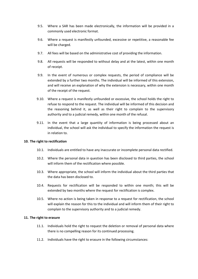- 9.5. Where a SAR has been made electronically, the information will be provided in a commonly used electronic format.
- 9.6. Where a request is manifestly unfounded, excessive or repetitive, a reasonable fee will be charged.
- 9.7. All fees will be based on the administrative cost of providing the information.
- 9.8. All requests will be responded to without delay and at the latest, within one month of receipt.
- 9.9. In the event of numerous or complex requests, the period of compliance will be extended by a further two months. The individual will be informed of this extension, and will receive an explanation of why the extension is necessary, within one month of the receipt of the request.
- 9.10. Where a request is manifestly unfounded or excessive, the school holds the right to refuse to respond to the request. The individual will be informed of this decision and the reasoning behind it, as well as their right to complain to the supervisory authority and to a judicial remedy, within one month of the refusal.
- 9.11. In the event that a large quantity of information is being processed about an individual, the school will ask the individual to specify the information the request is in relation to.

#### <span id="page-9-0"></span>**10. The right to rectification**

- 10.1. Individuals are entitled to have any inaccurate or incomplete personal data rectified.
- 10.2. Where the personal data in question has been disclosed to third parties, the school will inform them of the rectification where possible.
- 10.3. Where appropriate, the school will inform the individual about the third parties that the data has been disclosed to.
- 10.4. Requests for rectification will be responded to within one month; this will be extended by two months where the request for rectification is complex.
- 10.5. Where no action is being taken in response to a request for rectification, the school will explain the reason for this to the individual and will inform them of their right to complain to the supervisory authority and to a judicial remedy.

#### <span id="page-9-1"></span>**11. The right to erasure**

- 11.1. Individuals hold the right to request the deletion or removal of personal data where there is no compelling reason for its continued processing.
- 11.2. Individuals have the right to erasure in the following circumstances: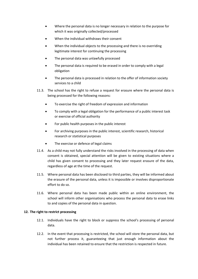- Where the personal data is no longer necessary in relation to the purpose for which it was originally collected/processed
- When the individual withdraws their consent
- When the individual objects to the processing and there is no overriding legitimate interest for continuing the processing
- The personal data was unlawfully processed
- The personal data is required to be erased in order to comply with a legal obligation
- The personal data is processed in relation to the offer of information society services to a child
- 11.3. The school has the right to refuse a request for erasure where the personal data is being processed for the following reasons:
	- To exercise the right of freedom of expression and information
	- To comply with a legal obligation for the performance of a public interest task or exercise of official authority
	- For public health purposes in the public interest
	- For archiving purposes in the public interest, scientific research, historical research or statistical purposes
	- The exercise or defence of legal claims
- 11.4. As a child may not fully understand the risks involved in the processing of data when consent is obtained, special attention will be given to existing situations where a child has given consent to processing and they later request erasure of the data, regardless of age at the time of the request.
- 11.5. Where personal data has been disclosed to third parties, they will be informed about the erasure of the personal data, unless it is impossible or involves disproportionate effort to do so.
- 11.6. Where personal data has been made public within an online environment, the school will inform other organisations who process the personal data to erase links to and copies of the personal data in question.

#### <span id="page-10-0"></span>**12. The right to restrict processing**

- 12.1. Individuals have the right to block or suppress the school's processing of personal data.
- 12.2. In the event that processing is restricted, the school will store the personal data, but not further process it, guaranteeing that just enough information about the individual has been retained to ensure that the restriction is respected in future.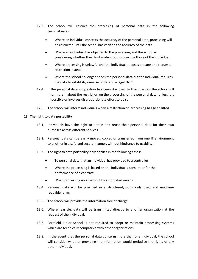- 12.3. The school will restrict the processing of personal data in the following circumstances:
	- Where an individual contests the accuracy of the personal data, processing will be restricted until the school has verified the accuracy of the data
	- Where an individual has objected to the processing and the school is considering whether their legitimate grounds override those of the individual
	- Where processing is unlawful and the individual opposes erasure and requests restriction instead
	- Where the school no longer needs the personal data but the individual requires the data to establish, exercise or defend a legal claim
- 12.4. If the personal data in question has been disclosed to third parties, the school will inform them about the restriction on the processing of the personal data, unless it is impossible or involves disproportionate effort to do so.
- 12.5. The school will inform individuals when a restriction on processing has been lifted.

#### <span id="page-11-0"></span>**13. The right to data portability**

- 13.1. Individuals have the right to obtain and reuse their personal data for their own purposes across different services.
- 13.2. Personal data can be easily moved, copied or transferred from one IT environment to another in a safe and secure manner, without hindrance to usability.
- 13.3. The right to data portability only applies in the following cases:
	- To personal data that an individual has provided to a controller
	- Where the processing is based on the individual's consent or for the performance of a contract
	- When processing is carried out by automated means
- 13.4. Personal data will be provided in a structured, commonly used and machinereadable form.
- 13.5. The school will provide the information free of charge.
- 13.6. Where feasible, data will be transmitted directly to another organisation at the request of the individual.
- 13.7. Forefield Junior School is not required to adopt or maintain processing systems which are technically compatible with other organisations.
- 13.8. In the event that the personal data concerns more than one individual, the school will consider whether providing the information would prejudice the rights of any other individual.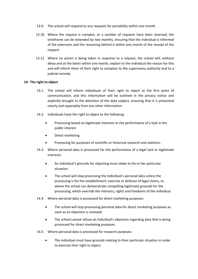- 13.9. The school will respond to any requests for portability within one month.
- 13.10. Where the request is complex, or a number of requests have been received, the timeframe can be extended by two months, ensuring that the individual is informed of the extension and the reasoning behind it within one month of the receipt of the request.
- 13.11. Where no action is being taken in response to a request, the school will, without delay and at the latest within one month, explain to the individual the reason for this and will inform them of their right to complain to the supervisory authority and to a judicial remedy.

#### <span id="page-12-0"></span>**14. The right to object**

- 14.1. The school will inform individuals of their right to object at the first point of communication, and this information will be outlined in the privacy notice and explicitly brought to the attention of the data subject, ensuring that it is presented clearly and separately from any other information.
- 14.2. Individuals have the right to object to the following:
	- Processing based on legitimate interests or the performance of a task in the public interest
	- Direct marketing
	- Processing for purposes of scientific or historical research and statistics.
- 14.3. Where personal data is processed for the performance of a legal task or legitimate interests:
	- An individual's grounds for objecting must relate to his or her particular situation.
	- The school will stop processing the individual's personal data unless the processing is for the establishment, exercise or defence of legal claims, or, where the school can demonstrate compelling legitimate grounds for the processing, which override the interests, rights and freedoms of the individual.
- 14.4. Where personal data is processed for direct marketing purposes:
	- The school will stop processing personal data for direct marketing purposes as soon as an objection is received.
	- The school cannot refuse an individual's objection regarding data that is being processed for direct marketing purposes.
- 14.5. Where personal data is processed for research purposes:
	- The individual must have grounds relating to their particular situation in order to exercise their right to object.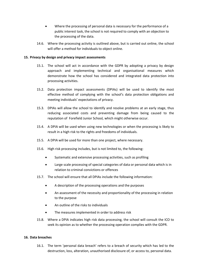- Where the processing of personal data is necessary for the performance of a public interest task, the school is not required to comply with an objection to the processing of the data.
- 14.6. Where the processing activity is outlined above, but is carried out online, the school will offer a method for individuals to object online.

#### <span id="page-13-0"></span>**15. Privacy by design and privacy impact assessments**

- 15.1. The school will act in accordance with the GDPR by adopting a privacy by design approach and implementing technical and organisational measures which demonstrate how the school has considered and integrated data protection into processing activities.
- 15.2. Data protection impact assessments (DPIAs) will be used to identify the most effective method of complying with the school's data protection obligations and meeting individuals' expectations of privacy.
- 15.3. DPIAs will allow the school to identify and resolve problems at an early stage, thus reducing associated costs and preventing damage from being caused to the reputation of Forefield Junior School*,* which might otherwise occur.
- 15.4. A DPIA will be used when using new technologies or when the processing is likely to result in a high risk to the rights and freedoms of individuals.
- 15.5. A DPIA will be used for more than one project, where necessary.
- 15.6. High risk processing includes, but is not limited to, the following:
	- Systematic and extensive processing activities, such as profiling
	- Large scale processing of special categories of data or personal data which is in relation to criminal convictions or offences
- 15.7. The school will ensure that all DPIAs include the following information:
	- A description of the processing operations and the purposes
	- An assessment of the necessity and proportionality of the processing in relation to the purpose
	- An outline of the risks to individuals
	- The measures implemented in order to address risk
- 15.8. Where a DPIA indicates high risk data processing, the school will consult the ICO to seek its opinion as to whether the processing operation complies with the GDPR.

#### <span id="page-13-1"></span>**16. Data breaches**

16.1. The term 'personal data breach' refers to a breach of security which has led to the destruction, loss, alteration, unauthorised disclosure of, or access to, personal data.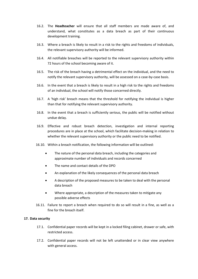- 16.2. The **Headteacher** will ensure that all staff members are made aware of, and understand, what constitutes as a data breach as part of their continuous development training.
- 16.3. Where a breach is likely to result in a risk to the rights and freedoms of individuals, the relevant supervisory authority will be informed.
- 16.4. All notifiable breaches will be reported to the relevant supervisory authority within 72 hours of the school becoming aware of it.
- 16.5. The risk of the breach having a detrimental effect on the individual, and the need to notify the relevant supervisory authority, will be assessed on a case-by-case basis.
- 16.6. In the event that a breach is likely to result in a high risk to the rights and freedoms of an individual, the school will notify those concerned directly.
- 16.7. A 'high risk' breach means that the threshold for notifying the individual is higher than that for notifying the relevant supervisory authority.
- 16.8. In the event that a breach is sufficiently serious, the public will be notified without undue delay.
- 16.9. Effective and robust breach detection, investigation and internal reporting procedures are in place at the school, which facilitate decision-making in relation to whether the relevant supervisory authority or the public need to be notified.
- 16.10. Within a breach notification, the following information will be outlined:
	- The nature of the personal data breach, including the categories and approximate number of individuals and records concerned
	- The name and contact details of the DPO
	- An explanation of the likely consequences of the personal data breach
	- A description of the proposed measures to be taken to deal with the personal data breach
	- Where appropriate, a description of the measures taken to mitigate any possible adverse effects
- 16.11. Failure to report a breach when required to do so will result in a fine, as well as a fine for the breach itself.

#### <span id="page-14-0"></span>**17. Data security**

- 17.1. Confidential paper records will be kept in a locked filing cabinet, drawer or safe, with restricted access.
- 17.2. Confidential paper records will not be left unattended or in clear view anywhere with general access.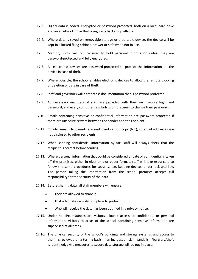- 17.3. Digital data is coded, encrypted or password-protected, both on a local hard drive and on a network drive that is regularly backed up off-site.
- 17.4. Where data is saved on removable storage or a portable device, the device will be kept in a locked filing cabinet, drawer or safe when not in use.
- 17.5. Memory sticks will not be used to hold personal information unless they are password-protected and fully encrypted.
- 17.6. All electronic devices are password-protected to protect the information on the device in case of theft.
- 17.7. Where possible, the school enables electronic devices to allow the remote blocking or deletion of data in case of theft.
- 17.8. Staff and governors will only access documentation that is password protected.
- 17.9. All necessary members of staff are provided with their own secure login and password, and every computer regularly prompts users to change their password.
- 17.10. Emails containing sensitive or confidential information are password-protected if there are unsecure servers between the sender and the recipient.
- 17.11. Circular emails to parents are sent blind carbon copy (bcc), so email addresses are not disclosed to other recipients.
- 17.12. When sending confidential information by fax, staff will always check that the recipient is correct before sending.
- 17.13. Where personal information that could be considered private or confidential is taken off the premises, either in electronic or paper format, staff will take extra care to follow the same procedures for security, e.g. keeping devices under lock and key. The person taking the information from the school premises accepts full responsibility for the security of the data.
- 17.14. Before sharing data, all staff members will ensure:
	- They are allowed to share it.
	- That adequate security is in place to protect it.
	- Who will receive the data has been outlined in a privacy notice.
- 17.15. Under no circumstances are visitors allowed access to confidential or personal information. Visitors to areas of the school containing sensitive information are supervised at all times.
- 17.16. The physical security of the school's buildings and storage systems, and access to them, is reviewed on a **termly** basis. If an increased risk in vandalism/burglary/theft is identified, extra measures to secure data storage will be put in place.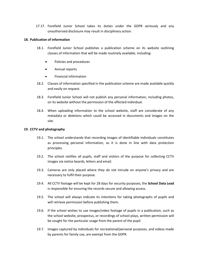17.17. Forefield Junior School takes its duties under the GDPR seriously and any unauthorised disclosure may result in disciplinary action.

#### <span id="page-16-0"></span>**18. Publication of information**

- 18.1. Forefield Junior School publishes a publication scheme on its website outlining classes of information that will be made routinely available, including:
	- Policies and procedures
	- Annual reports
	- Financial information
- 18.2. Classes of information specified in the publication scheme are made available quickly and easily on request.
- 18.3. Forefield Junior School will not publish any personal information, including photos, on its website without the permission of the affected individual.
- 18.4. When uploading information to the school website, staff are considerate of any metadata or deletions which could be accessed in documents and images on the site.

#### <span id="page-16-1"></span>**19. CCTV and photography**

- 19.1. The school understands that recording images of identifiable individuals constitutes as processing personal information, so it is done in line with data protection principles.
- 19.2. The school notifies all pupils, staff and visitors of the purpose for collecting CCTV images via notice boards, letters and email.
- 19.3. Cameras are only placed where they do not intrude on anyone's privacy and are necessary to fulfil their purpose.
- 19.4. All CCTV footage will be kept for 28 days for security purposes; the **School Data Lead** is responsible for ensuring the records secure and allowing access.
- 19.5. The school will always indicate its intentions for taking photographs of pupils and will retrieve permission before publishing them.
- 19.6. If the school wishes to use images/video footage of pupils in a publication, such as the school website, prospectus, or recordings of school plays, written permission will be sought for the particular usage from the parent of the pupil.
- 19.7. Images captured by individuals for recreational/personal purposes, and videos made by parents for family use, are exempt from the GDPR.